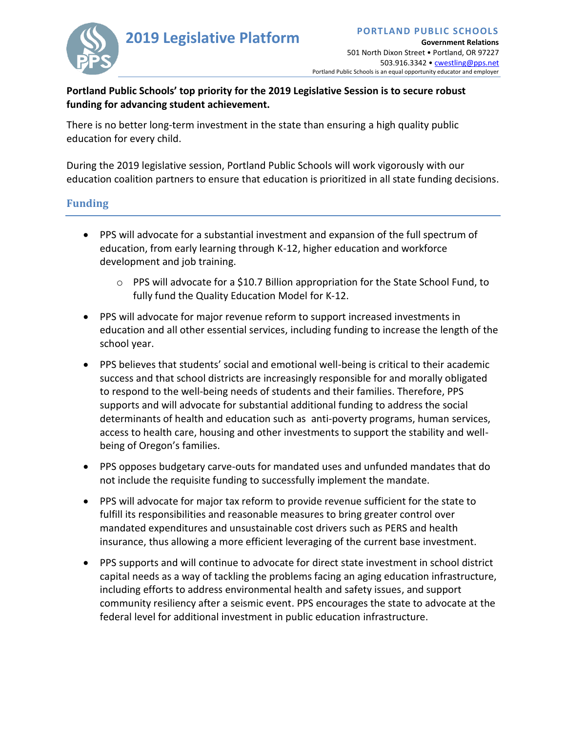

## **Portland Public Schools' top priority for the 2019 Legislative Session is to secure robust funding for advancing student achievement.**

There is no better long-term investment in the state than ensuring a high quality public education for every child.

During the 2019 legislative session, Portland Public Schools will work vigorously with our education coalition partners to ensure that education is prioritized in all state funding decisions.

## **Funding**

- PPS will advocate for a substantial investment and expansion of the full spectrum of education, from early learning through K-12, higher education and workforce development and job training.
	- $\circ$  PPS will advocate for a \$10.7 Billion appropriation for the State School Fund, to fully fund the Quality Education Model for K-12.
- PPS will advocate for major revenue reform to support increased investments in education and all other essential services, including funding to increase the length of the school year.
- PPS believes that students' social and emotional well-being is critical to their academic success and that school districts are increasingly responsible for and morally obligated to respond to the well-being needs of students and their families. Therefore, PPS supports and will advocate for substantial additional funding to address the social determinants of health and education such as anti-poverty programs, human services, access to health care, housing and other investments to support the stability and wellbeing of Oregon's families.
- PPS opposes budgetary carve-outs for mandated uses and unfunded mandates that do not include the requisite funding to successfully implement the mandate.
- PPS will advocate for major tax reform to provide revenue sufficient for the state to fulfill its responsibilities and reasonable measures to bring greater control over mandated expenditures and unsustainable cost drivers such as PERS and health insurance, thus allowing a more efficient leveraging of the current base investment.
- PPS supports and will continue to advocate for direct state investment in school district capital needs as a way of tackling the problems facing an aging education infrastructure, including efforts to address environmental health and safety issues, and support community resiliency after a seismic event. PPS encourages the state to advocate at the federal level for additional investment in public education infrastructure.